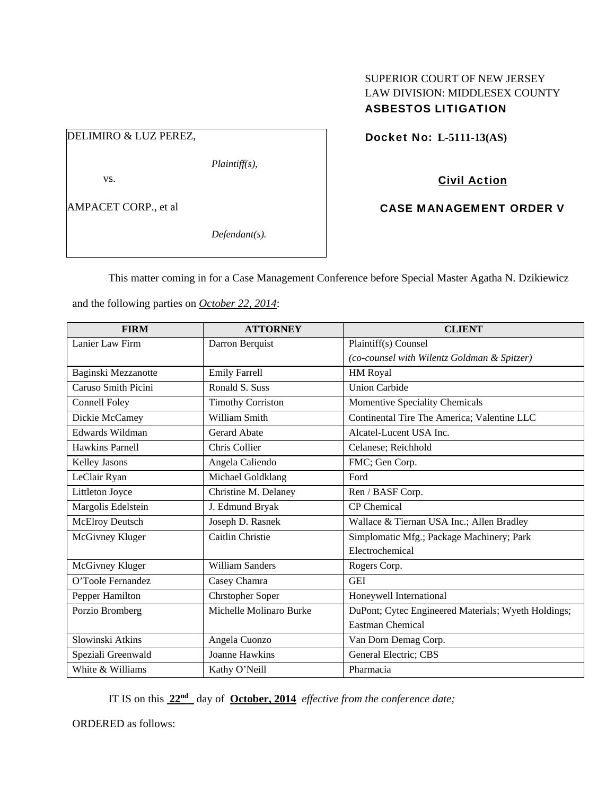# SUPERIOR COURT OF NEW JERSEY LAW DIVISION: MIDDLESEX COUNTY ASBESTOS LITIGATION

DELIMIRO & LUZ PEREZ,

*Plaintiff(s),* 

vs.

AMPACET CORP., et al

*Defendant(s).* 

Docket No: **L-5111-13(AS)** 

Civil Action

CASE MANAGEMENT ORDER V

This matter coming in for a Case Management Conference before Special Master Agatha N. Dzikiewicz

| <b>FIRM</b>            | <b>ATTORNEY</b>          | <b>CLIENT</b>                                       |
|------------------------|--------------------------|-----------------------------------------------------|
| Lanier Law Firm        | Darron Berquist          | Plaintiff(s) Counsel                                |
|                        |                          | (co-counsel with Wilentz Goldman & Spitzer)         |
| Baginski Mezzanotte    | <b>Emily Farrell</b>     | <b>HM Royal</b>                                     |
| Caruso Smith Picini    | Ronald S. Suss           | <b>Union Carbide</b>                                |
| <b>Connell Foley</b>   | <b>Timothy Corriston</b> | Momentive Speciality Chemicals                      |
| Dickie McCamey         | William Smith            | Continental Tire The America; Valentine LLC         |
| Edwards Wildman        | Gerard Abate             | Alcatel-Lucent USA Inc.                             |
| Hawkins Parnell        | Chris Collier            | Celanese; Reichhold                                 |
| <b>Kelley Jasons</b>   | Angela Caliendo          | FMC; Gen Corp.                                      |
| LeClair Ryan           | Michael Goldklang        | Ford                                                |
| Littleton Joyce        | Christine M. Delaney     | Ren / BASF Corp.                                    |
| Margolis Edelstein     | J. Edmund Bryak          | <b>CP</b> Chemical                                  |
| <b>McElroy Deutsch</b> | Joseph D. Rasnek         | Wallace & Tiernan USA Inc.; Allen Bradley           |
| McGivney Kluger        | Caitlin Christie         | Simplomatic Mfg.; Package Machinery; Park           |
|                        |                          | Electrochemical                                     |
| McGivney Kluger        | <b>William Sanders</b>   | Rogers Corp.                                        |
| O'Toole Fernandez      | Casey Chamra             | <b>GEI</b>                                          |
| Pepper Hamilton        | <b>Chrstopher Soper</b>  | Honeywell International                             |
| Porzio Bromberg        | Michelle Molinaro Burke  | DuPont; Cytec Engineered Materials; Wyeth Holdings; |
|                        |                          | <b>Eastman Chemical</b>                             |
| Slowinski Atkins       | Angela Cuonzo            | Van Dorn Demag Corp.                                |
| Speziali Greenwald     | <b>Joanne Hawkins</b>    | General Electric; CBS                               |
| White & Williams       | Kathy O'Neill            | Pharmacia                                           |

and the following parties on *October 22, 2014*:

IT IS on this **22nd** day of **October, 2014** *effective from the conference date;*

ORDERED as follows: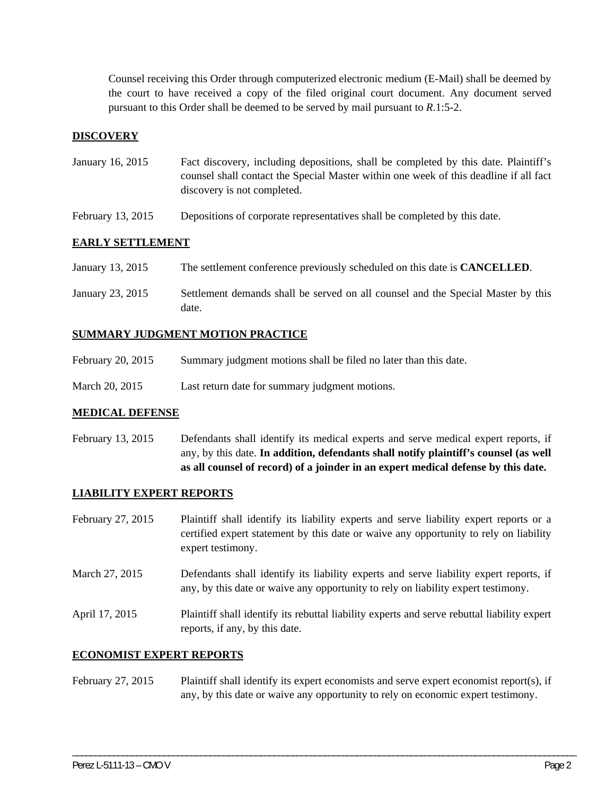Counsel receiving this Order through computerized electronic medium (E-Mail) shall be deemed by the court to have received a copy of the filed original court document. Any document served pursuant to this Order shall be deemed to be served by mail pursuant to *R*.1:5-2.

### **DISCOVERY**

- January 16, 2015 Fact discovery, including depositions, shall be completed by this date. Plaintiff's counsel shall contact the Special Master within one week of this deadline if all fact discovery is not completed.
- February 13, 2015 Depositions of corporate representatives shall be completed by this date.

### **EARLY SETTLEMENT**

- January 13, 2015 The settlement conference previously scheduled on this date is **CANCELLED**.
- January 23, 2015 Settlement demands shall be served on all counsel and the Special Master by this date.

### **SUMMARY JUDGMENT MOTION PRACTICE**

- February 20, 2015 Summary judgment motions shall be filed no later than this date.
- March 20, 2015 Last return date for summary judgment motions.

#### **MEDICAL DEFENSE**

February 13, 2015 Defendants shall identify its medical experts and serve medical expert reports, if any, by this date. **In addition, defendants shall notify plaintiff's counsel (as well as all counsel of record) of a joinder in an expert medical defense by this date.** 

#### **LIABILITY EXPERT REPORTS**

- February 27, 2015 Plaintiff shall identify its liability experts and serve liability expert reports or a certified expert statement by this date or waive any opportunity to rely on liability expert testimony.
- March 27, 2015 Defendants shall identify its liability experts and serve liability expert reports, if any, by this date or waive any opportunity to rely on liability expert testimony.

April 17, 2015 Plaintiff shall identify its rebuttal liability experts and serve rebuttal liability expert reports, if any, by this date.

#### **ECONOMIST EXPERT REPORTS**

### February 27, 2015 Plaintiff shall identify its expert economists and serve expert economist report(s), if any, by this date or waive any opportunity to rely on economic expert testimony.

\_\_\_\_\_\_\_\_\_\_\_\_\_\_\_\_\_\_\_\_\_\_\_\_\_\_\_\_\_\_\_\_\_\_\_\_\_\_\_\_\_\_\_\_\_\_\_\_\_\_\_\_\_\_\_\_\_\_\_\_\_\_\_\_\_\_\_\_\_\_\_\_\_\_\_\_\_\_\_\_\_\_\_\_\_\_\_\_\_\_\_\_\_\_\_\_\_\_\_\_\_\_\_\_\_\_\_\_\_\_